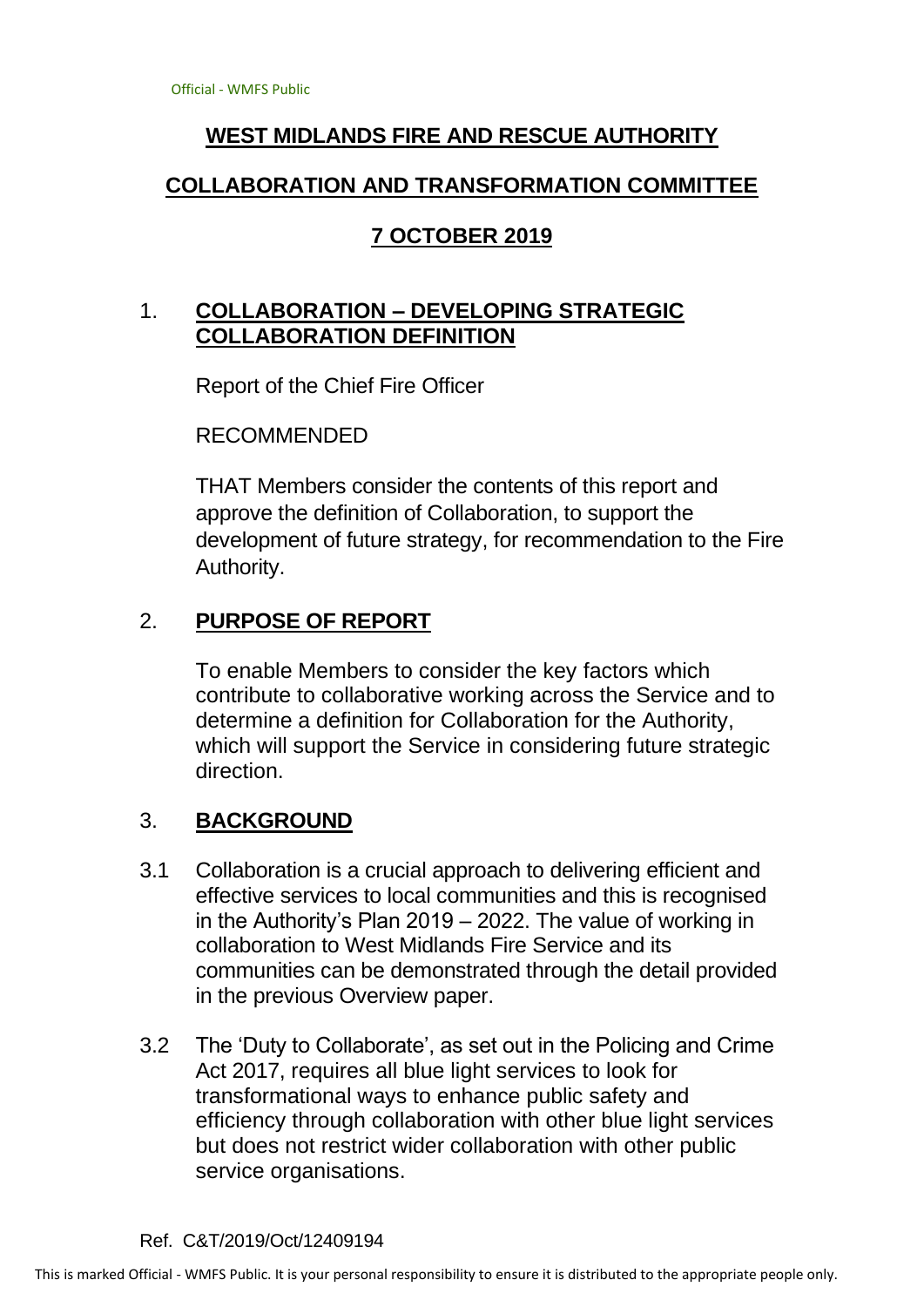# **WEST MIDLANDS FIRE AND RESCUE AUTHORITY**

### **COLLABORATION AND TRANSFORMATION COMMITTEE**

# **7 OCTOBER 2019**

# 1. **COLLABORATION – DEVELOPING STRATEGIC COLLABORATION DEFINITION**

Report of the Chief Fire Officer

RECOMMENDED

THAT Members consider the contents of this report and approve the definition of Collaboration, to support the development of future strategy, for recommendation to the Fire Authority.

## 2. **PURPOSE OF REPORT**

To enable Members to consider the key factors which contribute to collaborative working across the Service and to determine a definition for Collaboration for the Authority, which will support the Service in considering future strategic direction.

## 3. **BACKGROUND**

- 3.1 Collaboration is a crucial approach to delivering efficient and effective services to local communities and this is recognised in the Authority's Plan 2019 – 2022. The value of working in collaboration to West Midlands Fire Service and its communities can be demonstrated through the detail provided in the previous Overview paper.
- 3.2 The 'Duty to Collaborate', as set out in the Policing and Crime Act 2017, requires all blue light services to look for transformational ways to enhance public safety and efficiency through collaboration with other blue light services but does not restrict wider collaboration with other public service organisations.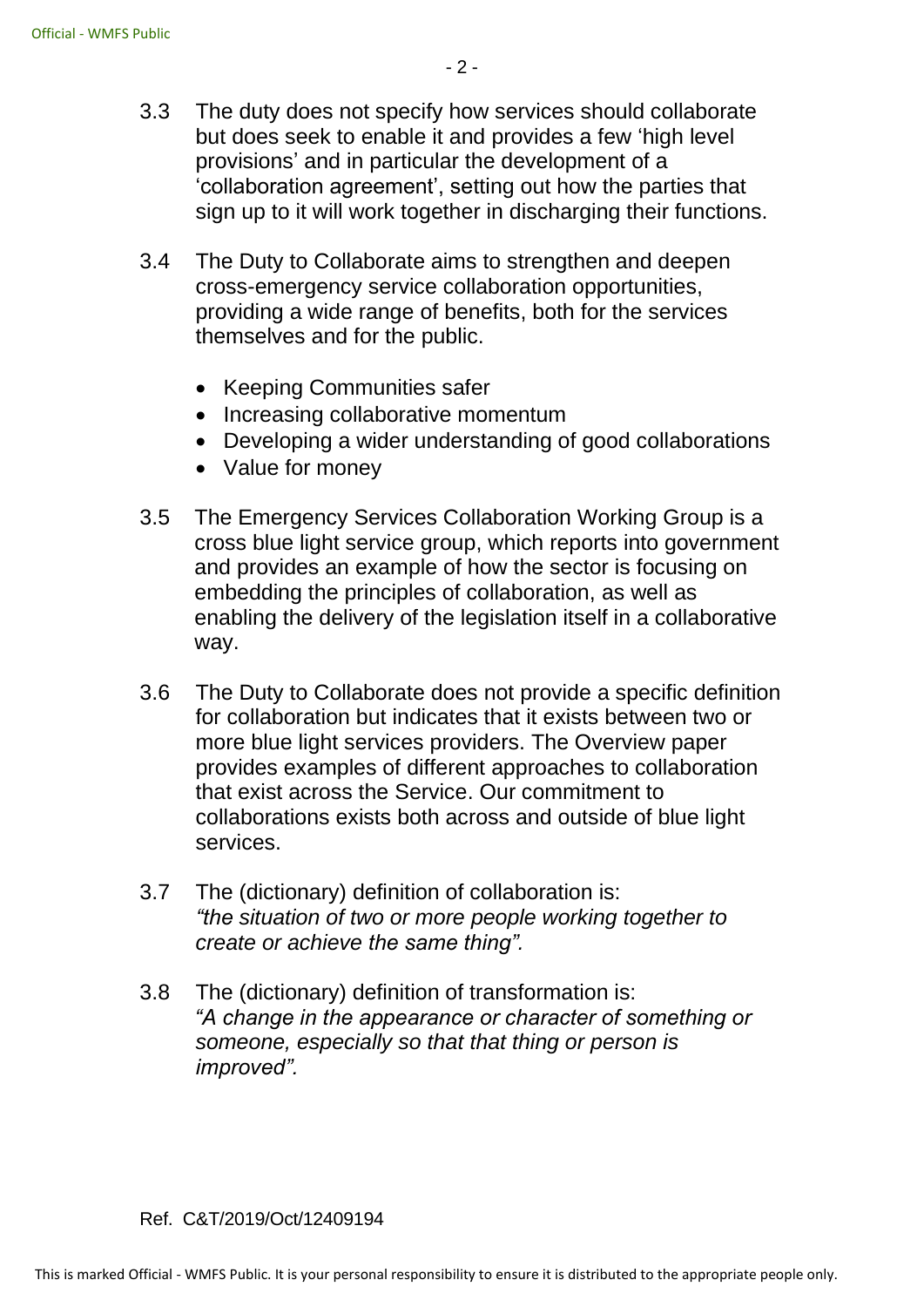- 3.3 The duty does not specify how services should collaborate but does seek to enable it and provides a few 'high level provisions' and in particular the development of a 'collaboration agreement', setting out how the parties that sign up to it will work together in discharging their functions.
- 3.4 The Duty to Collaborate aims to strengthen and deepen cross-emergency service collaboration opportunities, providing a wide range of benefits, both for the services themselves and for the public.
	- Keeping Communities safer
	- Increasing collaborative momentum
	- Developing a wider understanding of good collaborations
	- Value for money
- 3.5 The Emergency Services Collaboration Working Group is a cross blue light service group, which reports into government and provides an example of how the sector is focusing on embedding the principles of collaboration, as well as enabling the delivery of the legislation itself in a collaborative way.
- 3.6 The Duty to Collaborate does not provide a specific definition for collaboration but indicates that it exists between two or more blue light services providers. The Overview paper provides examples of different approaches to collaboration that exist across the Service. Our commitment to collaborations exists both across and outside of blue light services.
- 3.7 The (dictionary) definition of collaboration is: *"the [situation](https://dictionary.cambridge.org/dictionary/english/situation) of two or more [people](https://dictionary.cambridge.org/dictionary/english/people) [working](https://dictionary.cambridge.org/dictionary/english/working) together to [create](https://dictionary.cambridge.org/dictionary/english/create) or [achieve](https://dictionary.cambridge.org/dictionary/english/achieve) the same thing".*
- 3.8 The (dictionary) definition of transformation is: *"A change in the appearance or character of something or someone, especially so that that thing or person is improved".*

#### Ref. C&T/2019/Oct/12409194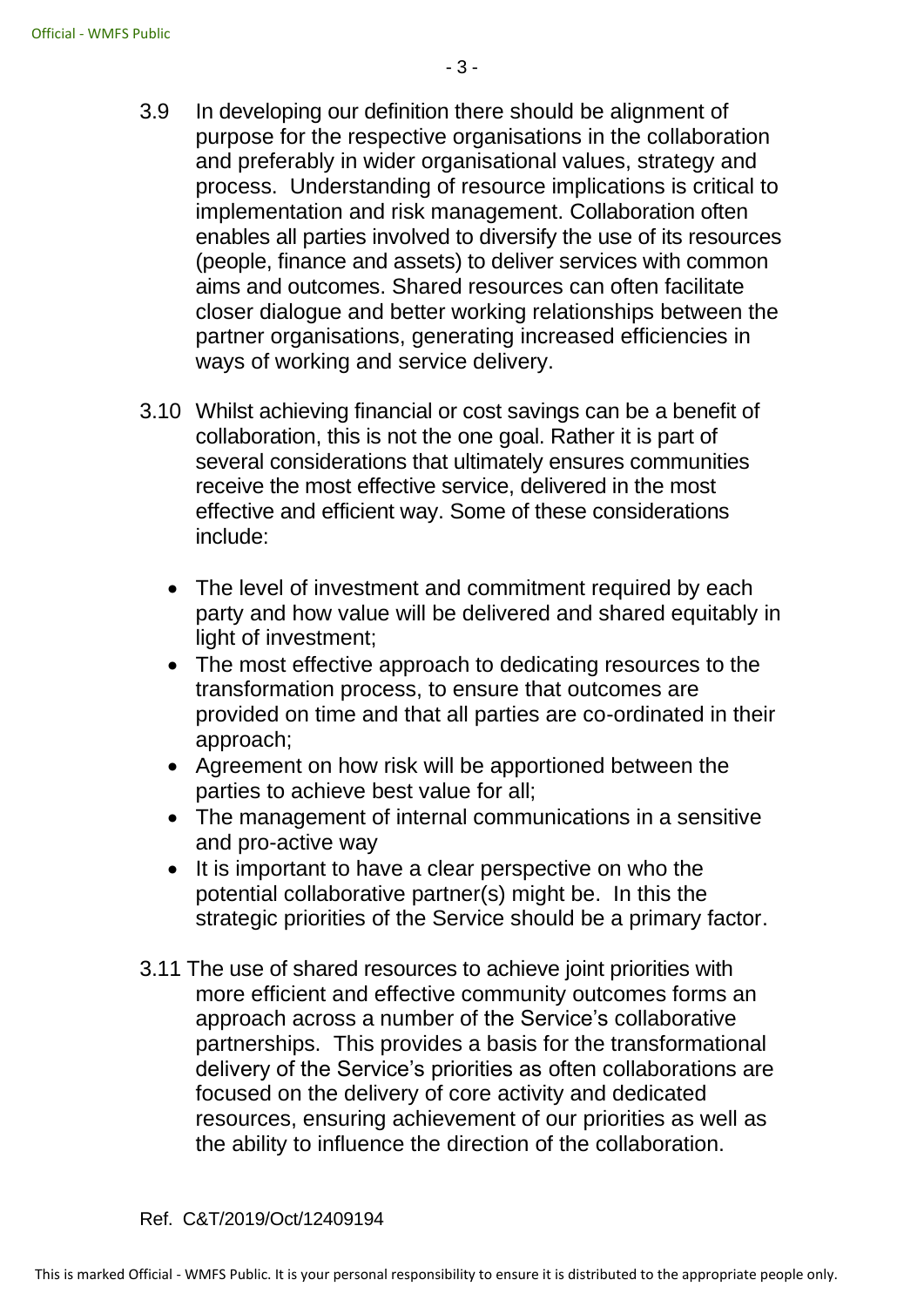- 3.9 In developing our definition there should be alignment of purpose for the respective organisations in the collaboration and preferably in wider organisational values, strategy and process. Understanding of resource implications is critical to implementation and risk management. Collaboration often enables all parties involved to diversify the use of its resources (people, finance and assets) to deliver services with common aims and outcomes. Shared resources can often facilitate closer dialogue and better working relationships between the partner organisations, generating increased efficiencies in ways of working and service delivery.
- 3.10 Whilst achieving financial or cost savings can be a benefit of collaboration, this is not the one goal. Rather it is part of several considerations that ultimately ensures communities receive the most effective service, delivered in the most effective and efficient way. Some of these considerations include:
	- The level of investment and commitment required by each party and how value will be delivered and shared equitably in light of investment;
	- The most effective approach to dedicating resources to the transformation process, to ensure that outcomes are provided on time and that all parties are co-ordinated in their approach;
	- Agreement on how risk will be apportioned between the parties to achieve best value for all;
	- The management of internal communications in a sensitive and pro-active way
	- It is important to have a clear perspective on who the potential collaborative partner(s) might be. In this the strategic priorities of the Service should be a primary factor.
- 3.11 The use of shared resources to achieve joint priorities with more efficient and effective community outcomes forms an approach across a number of the Service's collaborative partnerships. This provides a basis for the transformational delivery of the Service's priorities as often collaborations are focused on the delivery of core activity and dedicated resources, ensuring achievement of our priorities as well as the ability to influence the direction of the collaboration.
- Ref. C&T/2019/Oct/12409194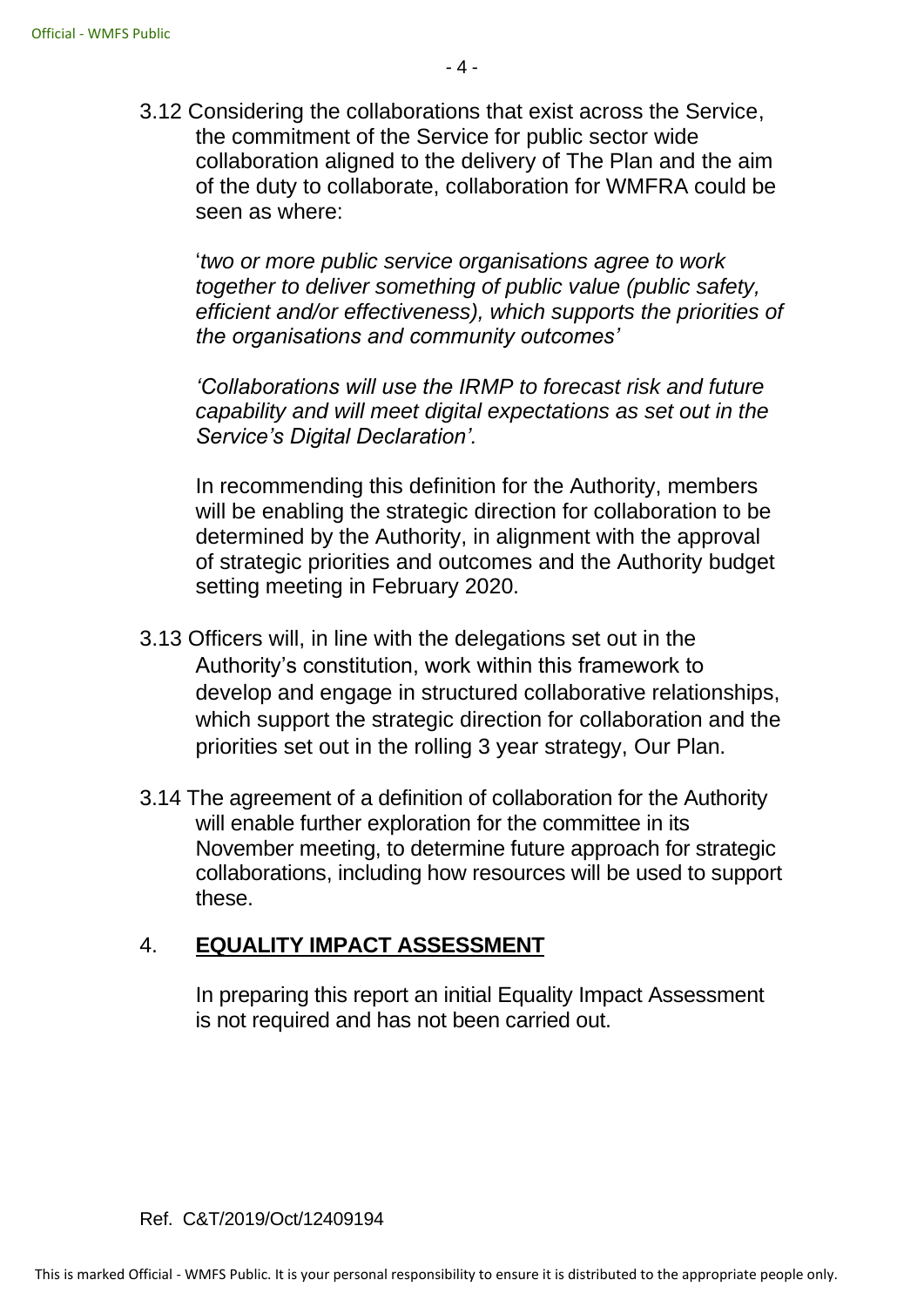3.12 Considering the collaborations that exist across the Service, the commitment of the Service for public sector wide collaboration aligned to the delivery of The Plan and the aim of the duty to collaborate, collaboration for WMFRA could be seen as where:

'*two or more public service organisations agree to work together to deliver something of public value (public safety, efficient and/or effectiveness), which supports the priorities of the organisations and community outcomes'* 

*'Collaborations will use the IRMP to forecast risk and future capability and will meet digital expectations as set out in the Service's Digital Declaration'.*

In recommending this definition for the Authority, members will be enabling the strategic direction for collaboration to be determined by the Authority, in alignment with the approval of strategic priorities and outcomes and the Authority budget setting meeting in February 2020.

- 3.13 Officers will, in line with the delegations set out in the Authority's constitution, work within this framework to develop and engage in structured collaborative relationships, which support the strategic direction for collaboration and the priorities set out in the rolling 3 year strategy, Our Plan.
- 3.14 The agreement of a definition of collaboration for the Authority will enable further exploration for the committee in its November meeting, to determine future approach for strategic collaborations, including how resources will be used to support these.

## 4. **EQUALITY IMPACT ASSESSMENT**

In preparing this report an initial Equality Impact Assessment is not required and has not been carried out.

#### Ref. C&T/2019/Oct/12409194